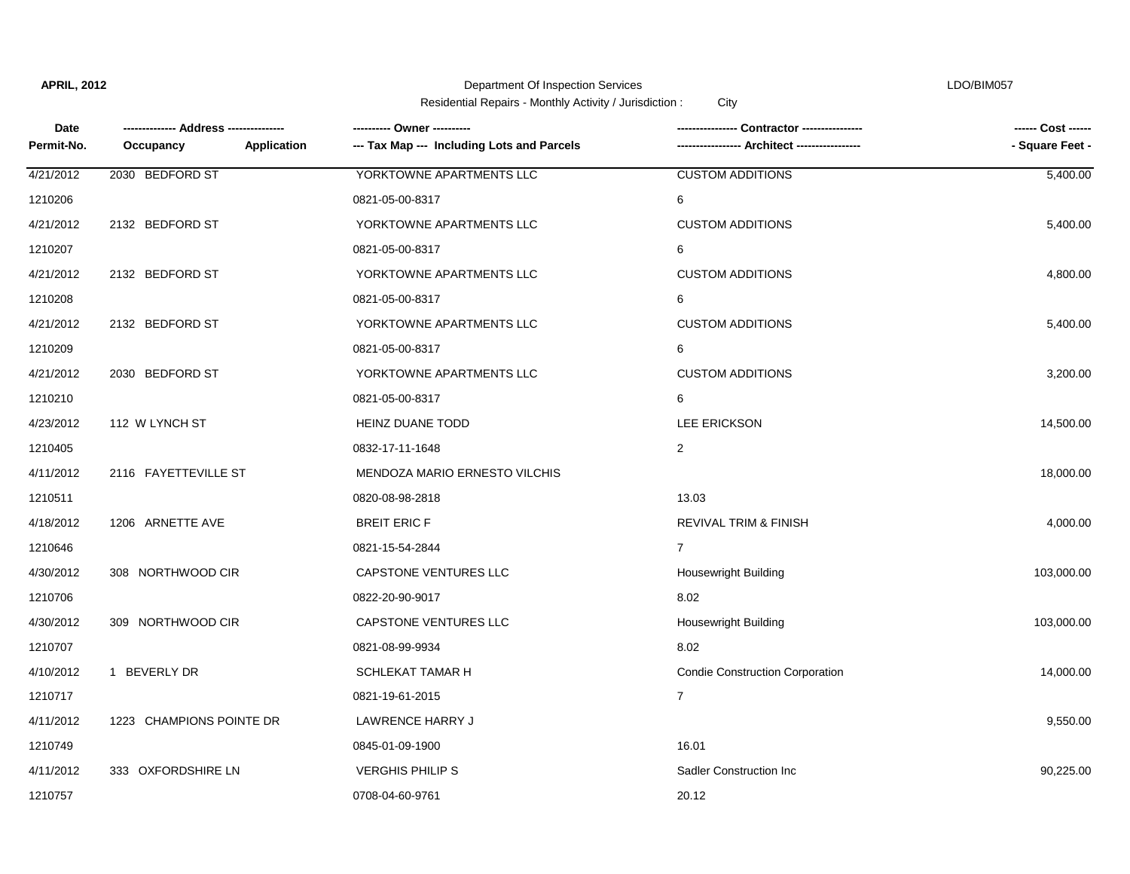$\blacksquare$ 

Department Of Inspection Services **LDO/BIM057** 

| Date       |                          | --------- Owner ----------                 |                                        | ------ Cost ------<br>- Square Feet - |
|------------|--------------------------|--------------------------------------------|----------------------------------------|---------------------------------------|
| Permit-No. | Application<br>Occupancy | --- Tax Map --- Including Lots and Parcels |                                        |                                       |
| 4/21/2012  | 2030 BEDFORD ST          | YORKTOWNE APARTMENTS LLC                   | <b>CUSTOM ADDITIONS</b>                | 5,400.00                              |
| 1210206    |                          | 0821-05-00-8317                            | 6                                      |                                       |
| 4/21/2012  | 2132 BEDFORD ST          | YORKTOWNE APARTMENTS LLC                   | <b>CUSTOM ADDITIONS</b>                | 5,400.00                              |
| 1210207    |                          | 0821-05-00-8317                            | 6                                      |                                       |
| 4/21/2012  | 2132 BEDFORD ST          | YORKTOWNE APARTMENTS LLC                   | <b>CUSTOM ADDITIONS</b>                | 4,800.00                              |
| 1210208    |                          | 0821-05-00-8317                            | 6                                      |                                       |
| 4/21/2012  | 2132 BEDFORD ST          | YORKTOWNE APARTMENTS LLC                   | <b>CUSTOM ADDITIONS</b>                | 5,400.00                              |
| 1210209    |                          | 0821-05-00-8317                            | 6                                      |                                       |
| 4/21/2012  | 2030 BEDFORD ST          | YORKTOWNE APARTMENTS LLC                   | <b>CUSTOM ADDITIONS</b>                | 3,200.00                              |
| 1210210    |                          | 0821-05-00-8317                            | 6                                      |                                       |
| 4/23/2012  | 112 W LYNCH ST           | HEINZ DUANE TODD                           | <b>LEE ERICKSON</b>                    | 14,500.00                             |
| 1210405    |                          | 0832-17-11-1648                            | 2                                      |                                       |
| 4/11/2012  | 2116 FAYETTEVILLE ST     | MENDOZA MARIO ERNESTO VILCHIS              |                                        | 18,000.00                             |
| 1210511    |                          | 0820-08-98-2818                            | 13.03                                  |                                       |
| 4/18/2012  | 1206 ARNETTE AVE         | <b>BREIT ERIC F</b>                        | <b>REVIVAL TRIM &amp; FINISH</b>       | 4,000.00                              |
| 1210646    |                          | 0821-15-54-2844                            | $\overline{7}$                         |                                       |
| 4/30/2012  | 308 NORTHWOOD CIR        | CAPSTONE VENTURES LLC                      | <b>Housewright Building</b>            | 103,000.00                            |
| 1210706    |                          | 0822-20-90-9017                            | 8.02                                   |                                       |
| 4/30/2012  | 309 NORTHWOOD CIR        | CAPSTONE VENTURES LLC                      | Housewright Building                   | 103,000.00                            |
| 1210707    |                          | 0821-08-99-9934                            | 8.02                                   |                                       |
| 4/10/2012  | 1 BEVERLY DR             | SCHLEKAT TAMAR H                           | <b>Condie Construction Corporation</b> | 14,000.00                             |
| 1210717    |                          | 0821-19-61-2015                            | $\overline{7}$                         |                                       |
| 4/11/2012  | 1223 CHAMPIONS POINTE DR | LAWRENCE HARRY J                           |                                        | 9,550.00                              |
| 1210749    |                          | 0845-01-09-1900                            | 16.01                                  |                                       |
| 4/11/2012  | 333 OXFORDSHIRE LN       | <b>VERGHIS PHILIP S</b>                    | Sadler Construction Inc.               | 90,225.00                             |
| 1210757    |                          | 0708-04-60-9761                            | 20.12                                  |                                       |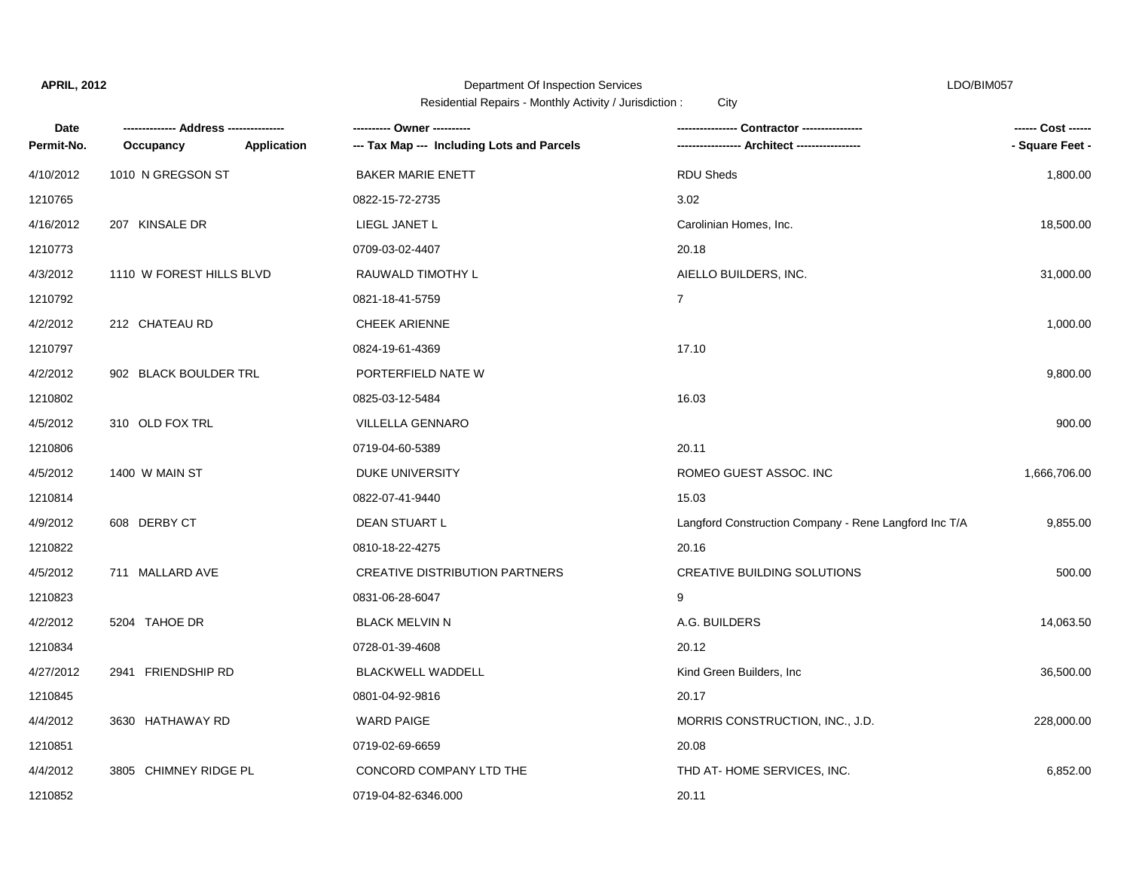### Department Of Inspection Services LDO/BIM057

| Date       |                          |             | ---------- Owner ----------                |                                                       | ------ Cost ------ |
|------------|--------------------------|-------------|--------------------------------------------|-------------------------------------------------------|--------------------|
| Permit-No. | Occupancy                | Application | --- Tax Map --- Including Lots and Parcels |                                                       | - Square Feet -    |
| 4/10/2012  | 1010 N GREGSON ST        |             | <b>BAKER MARIE ENETT</b>                   | <b>RDU Sheds</b>                                      | 1,800.00           |
| 1210765    |                          |             | 0822-15-72-2735                            | 3.02                                                  |                    |
| 4/16/2012  | 207 KINSALE DR           |             | LIEGL JANET L                              | Carolinian Homes, Inc.                                | 18,500.00          |
| 1210773    |                          |             | 0709-03-02-4407                            | 20.18                                                 |                    |
| 4/3/2012   | 1110 W FOREST HILLS BLVD |             | RAUWALD TIMOTHY L                          | AIELLO BUILDERS, INC.                                 | 31,000.00          |
| 1210792    |                          |             | 0821-18-41-5759                            | $\overline{7}$                                        |                    |
| 4/2/2012   | 212 CHATEAU RD           |             | <b>CHEEK ARIENNE</b>                       |                                                       | 1,000.00           |
| 1210797    |                          |             | 0824-19-61-4369                            | 17.10                                                 |                    |
| 4/2/2012   | 902 BLACK BOULDER TRL    |             | PORTERFIELD NATE W                         |                                                       | 9,800.00           |
| 1210802    |                          |             | 0825-03-12-5484                            | 16.03                                                 |                    |
| 4/5/2012   | 310 OLD FOX TRL          |             | <b>VILLELLA GENNARO</b>                    |                                                       | 900.00             |
| 1210806    |                          |             | 0719-04-60-5389                            | 20.11                                                 |                    |
| 4/5/2012   | 1400 W MAIN ST           |             | DUKE UNIVERSITY                            | ROMEO GUEST ASSOC. INC                                | 1,666,706.00       |
| 1210814    |                          |             | 0822-07-41-9440                            | 15.03                                                 |                    |
| 4/9/2012   | 608 DERBY CT             |             | DEAN STUART L                              | Langford Construction Company - Rene Langford Inc T/A | 9,855.00           |
| 1210822    |                          |             | 0810-18-22-4275                            | 20.16                                                 |                    |
| 4/5/2012   | 711 MALLARD AVE          |             | <b>CREATIVE DISTRIBUTION PARTNERS</b>      | <b>CREATIVE BUILDING SOLUTIONS</b>                    | 500.00             |
| 1210823    |                          |             | 0831-06-28-6047                            | 9                                                     |                    |
| 4/2/2012   | 5204 TAHOE DR            |             | <b>BLACK MELVIN N</b>                      | A.G. BUILDERS                                         | 14,063.50          |
| 1210834    |                          |             | 0728-01-39-4608                            | 20.12                                                 |                    |
| 4/27/2012  | 2941 FRIENDSHIP RD       |             | <b>BLACKWELL WADDELL</b>                   | Kind Green Builders, Inc                              | 36,500.00          |
| 1210845    |                          |             | 0801-04-92-9816                            | 20.17                                                 |                    |
| 4/4/2012   | 3630 HATHAWAY RD         |             | <b>WARD PAIGE</b>                          | MORRIS CONSTRUCTION, INC., J.D.                       | 228,000.00         |
| 1210851    |                          |             | 0719-02-69-6659                            | 20.08                                                 |                    |
| 4/4/2012   | 3805 CHIMNEY RIDGE PL    |             | CONCORD COMPANY LTD THE                    | THD AT-HOME SERVICES, INC.                            | 6,852.00           |
| 1210852    |                          |             | 0719-04-82-6346.000                        | 20.11                                                 |                    |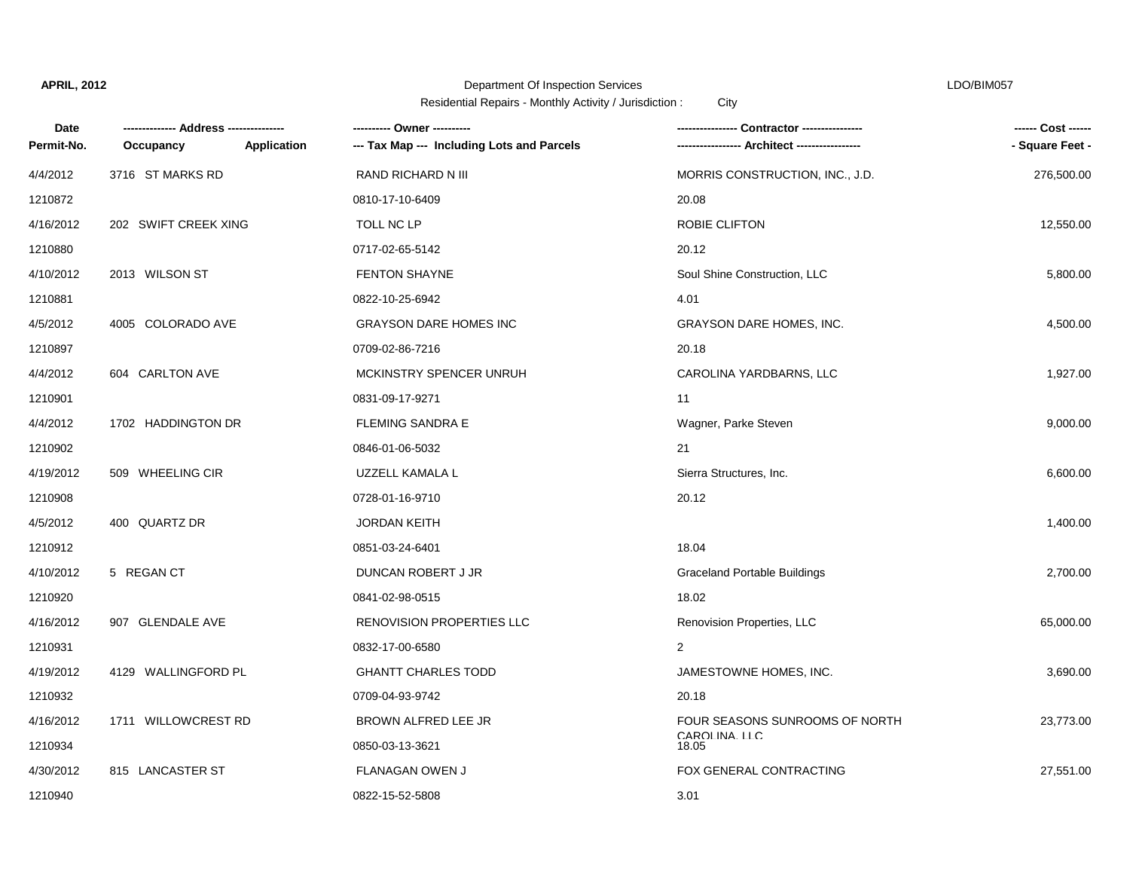## Department Of Inspection Services LDO/BIM057

| Date       |                      |                    | ---------- Owner ----------                |                                     | ------ Cost ------ |
|------------|----------------------|--------------------|--------------------------------------------|-------------------------------------|--------------------|
| Permit-No. | Occupancy            | <b>Application</b> | --- Tax Map --- Including Lots and Parcels |                                     | - Square Feet -    |
| 4/4/2012   | 3716 ST MARKS RD     |                    | RAND RICHARD N III                         | MORRIS CONSTRUCTION, INC., J.D.     | 276,500.00         |
| 1210872    |                      |                    | 0810-17-10-6409                            | 20.08                               |                    |
| 4/16/2012  | 202 SWIFT CREEK XING |                    | TOLL NC LP                                 | ROBIE CLIFTON                       | 12,550.00          |
| 1210880    |                      |                    | 0717-02-65-5142                            | 20.12                               |                    |
| 4/10/2012  | 2013 WILSON ST       |                    | <b>FENTON SHAYNE</b>                       | Soul Shine Construction, LLC        | 5,800.00           |
| 1210881    |                      |                    | 0822-10-25-6942                            | 4.01                                |                    |
| 4/5/2012   | 4005 COLORADO AVE    |                    | <b>GRAYSON DARE HOMES INC</b>              | <b>GRAYSON DARE HOMES, INC.</b>     | 4,500.00           |
| 1210897    |                      |                    | 0709-02-86-7216                            | 20.18                               |                    |
| 4/4/2012   | 604 CARLTON AVE      |                    | MCKINSTRY SPENCER UNRUH                    | CAROLINA YARDBARNS, LLC             | 1,927.00           |
| 1210901    |                      |                    | 0831-09-17-9271                            | 11                                  |                    |
| 4/4/2012   | 1702 HADDINGTON DR   |                    | FLEMING SANDRA E                           | Wagner, Parke Steven                | 9,000.00           |
| 1210902    |                      |                    | 0846-01-06-5032                            | 21                                  |                    |
| 4/19/2012  | 509 WHEELING CIR     |                    | UZZELL KAMALA L                            | Sierra Structures, Inc.             | 6,600.00           |
| 1210908    |                      |                    | 0728-01-16-9710                            | 20.12                               |                    |
| 4/5/2012   | 400 QUARTZ DR        |                    | <b>JORDAN KEITH</b>                        |                                     | 1,400.00           |
| 1210912    |                      |                    | 0851-03-24-6401                            | 18.04                               |                    |
| 4/10/2012  | 5 REGAN CT           |                    | DUNCAN ROBERT J JR                         | <b>Graceland Portable Buildings</b> | 2,700.00           |
| 1210920    |                      |                    | 0841-02-98-0515                            | 18.02                               |                    |
| 4/16/2012  | 907 GLENDALE AVE     |                    | RENOVISION PROPERTIES LLC                  | Renovision Properties, LLC          | 65,000.00          |
| 1210931    |                      |                    | 0832-17-00-6580                            | $\overline{2}$                      |                    |
| 4/19/2012  | 4129 WALLINGFORD PL  |                    | <b>GHANTT CHARLES TODD</b>                 | JAMESTOWNE HOMES, INC.              | 3,690.00           |
| 1210932    |                      |                    | 0709-04-93-9742                            | 20.18                               |                    |
| 4/16/2012  | 1711 WILLOWCREST RD  |                    | BROWN ALFRED LEE JR                        | FOUR SEASONS SUNROOMS OF NORTH      | 23,773.00          |
| 1210934    |                      |                    | 0850-03-13-3621                            | CAROLINA. LLC<br>18.05              |                    |
| 4/30/2012  | 815 LANCASTER ST     |                    | FLANAGAN OWEN J                            | FOX GENERAL CONTRACTING             | 27,551.00          |
| 1210940    |                      |                    | 0822-15-52-5808                            | 3.01                                |                    |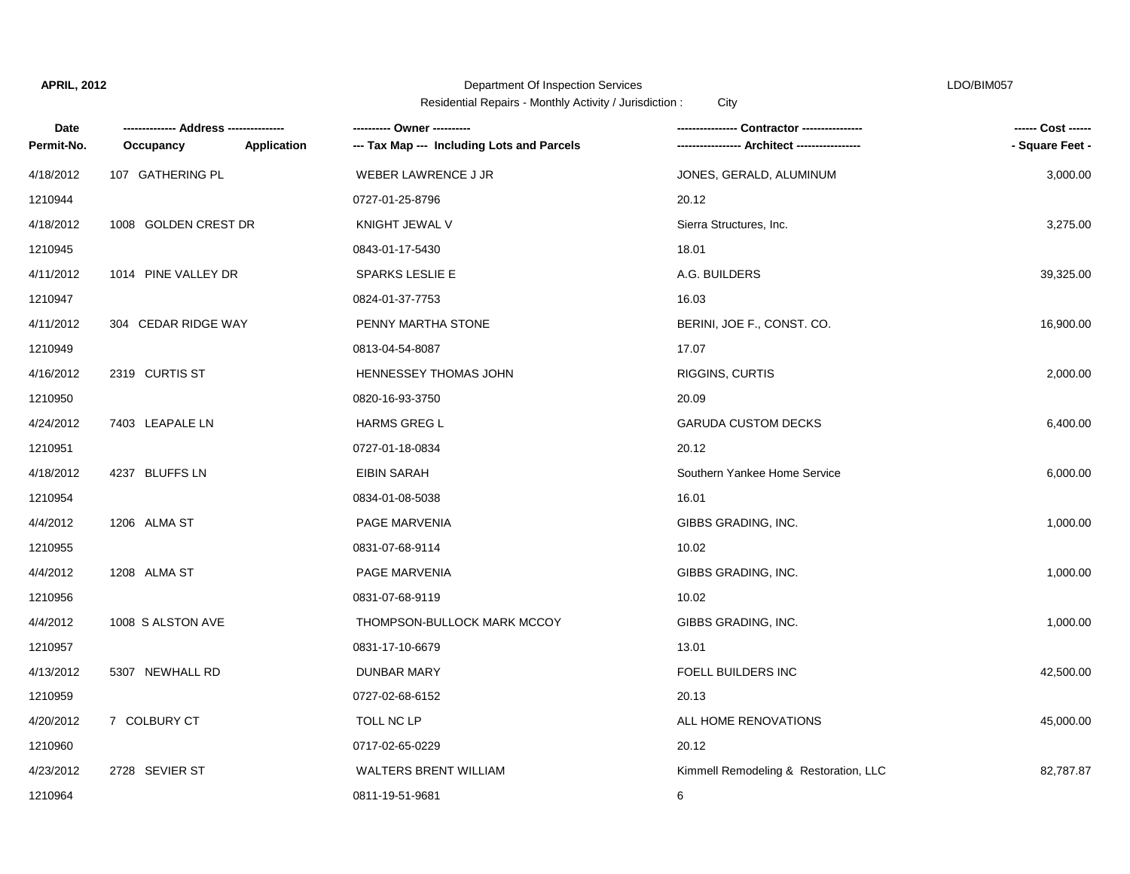## Department Of Inspection Services LDO/BIM057

| Date       |                      |             | --------- Owner ---------                  |                                       | ------ Cost ------ |
|------------|----------------------|-------------|--------------------------------------------|---------------------------------------|--------------------|
| Permit-No. | Occupancy            | Application | --- Tax Map --- Including Lots and Parcels |                                       | - Square Feet -    |
| 4/18/2012  | 107 GATHERING PL     |             | <b>WEBER LAWRENCE J JR</b>                 | JONES, GERALD, ALUMINUM               | 3,000.00           |
| 1210944    |                      |             | 0727-01-25-8796                            | 20.12                                 |                    |
| 4/18/2012  | 1008 GOLDEN CREST DR |             | KNIGHT JEWAL V                             | Sierra Structures, Inc.               | 3,275.00           |
| 1210945    |                      |             | 0843-01-17-5430                            | 18.01                                 |                    |
| 4/11/2012  | 1014 PINE VALLEY DR  |             | <b>SPARKS LESLIE E</b>                     | A.G. BUILDERS                         | 39,325.00          |
| 1210947    |                      |             | 0824-01-37-7753                            | 16.03                                 |                    |
| 4/11/2012  | 304 CEDAR RIDGE WAY  |             | PENNY MARTHA STONE                         | BERINI, JOE F., CONST. CO.            | 16,900.00          |
| 1210949    |                      |             | 0813-04-54-8087                            | 17.07                                 |                    |
| 4/16/2012  | 2319 CURTIS ST       |             | HENNESSEY THOMAS JOHN                      | RIGGINS, CURTIS                       | 2,000.00           |
| 1210950    |                      |             | 0820-16-93-3750                            | 20.09                                 |                    |
| 4/24/2012  | 7403 LEAPALE LN      |             | <b>HARMS GREG L</b>                        | <b>GARUDA CUSTOM DECKS</b>            | 6,400.00           |
| 1210951    |                      |             | 0727-01-18-0834                            | 20.12                                 |                    |
| 4/18/2012  | 4237 BLUFFS LN       |             | <b>EIBIN SARAH</b>                         | Southern Yankee Home Service          | 6,000.00           |
| 1210954    |                      |             | 0834-01-08-5038                            | 16.01                                 |                    |
| 4/4/2012   | 1206 ALMA ST         |             | PAGE MARVENIA                              | GIBBS GRADING, INC.                   | 1,000.00           |
| 1210955    |                      |             | 0831-07-68-9114                            | 10.02                                 |                    |
| 4/4/2012   | 1208 ALMA ST         |             | PAGE MARVENIA                              | GIBBS GRADING, INC.                   | 1,000.00           |
| 1210956    |                      |             | 0831-07-68-9119                            | 10.02                                 |                    |
| 4/4/2012   | 1008 S ALSTON AVE    |             | THOMPSON-BULLOCK MARK MCCOY                | GIBBS GRADING, INC.                   | 1,000.00           |
| 1210957    |                      |             | 0831-17-10-6679                            | 13.01                                 |                    |
| 4/13/2012  | 5307 NEWHALL RD      |             | <b>DUNBAR MARY</b>                         | FOELL BUILDERS INC                    | 42,500.00          |
| 1210959    |                      |             | 0727-02-68-6152                            | 20.13                                 |                    |
| 4/20/2012  | 7 COLBURY CT         |             | TOLL NC LP                                 | ALL HOME RENOVATIONS                  | 45,000.00          |
| 1210960    |                      |             | 0717-02-65-0229                            | 20.12                                 |                    |
| 4/23/2012  | 2728 SEVIER ST       |             | WALTERS BRENT WILLIAM                      | Kimmell Remodeling & Restoration, LLC | 82,787.87          |
| 1210964    |                      |             | 0811-19-51-9681                            | 6                                     |                    |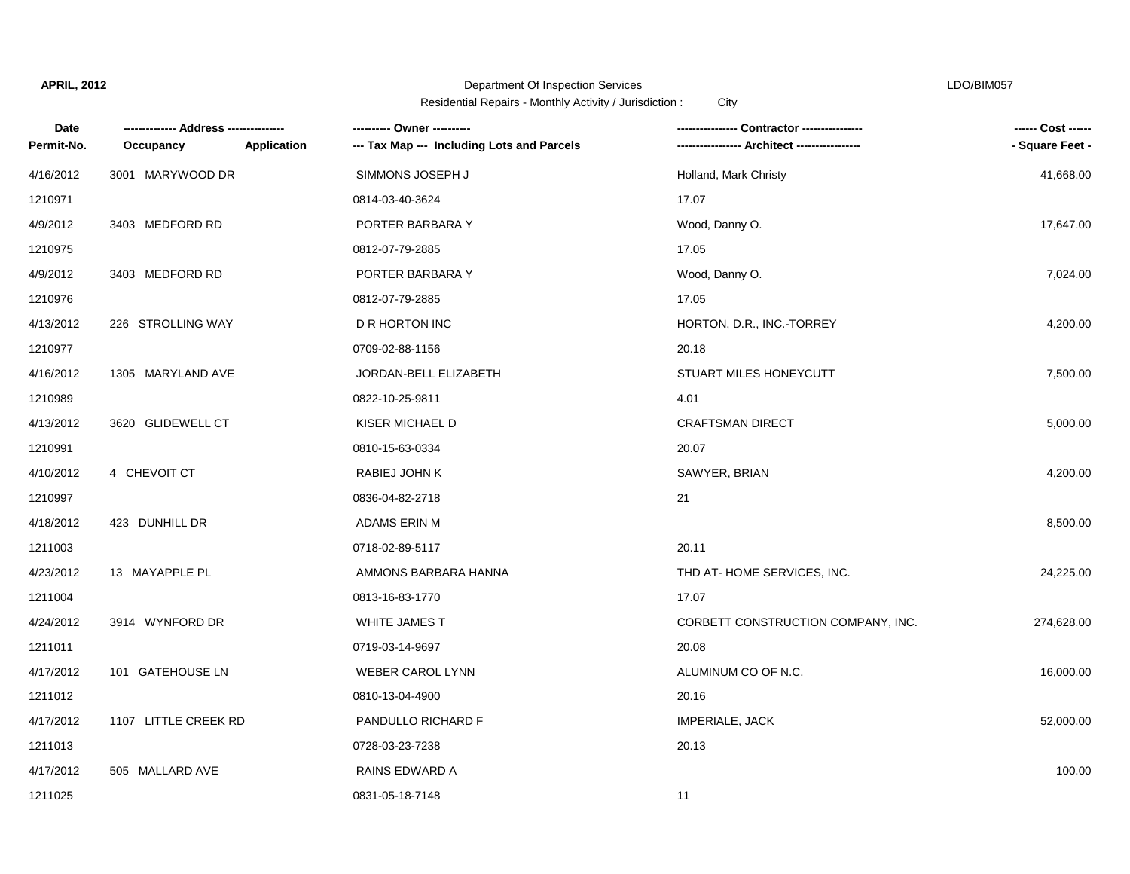## Department Of Inspection Services LDO/BIM057

| Date       |                      |             | --------- Owner ---------                  |                                    | ------ Cost ------ |
|------------|----------------------|-------------|--------------------------------------------|------------------------------------|--------------------|
| Permit-No. | Occupancy            | Application | --- Tax Map --- Including Lots and Parcels |                                    | - Square Feet -    |
| 4/16/2012  | 3001 MARYWOOD DR     |             | SIMMONS JOSEPH J                           | Holland, Mark Christy              | 41,668.00          |
| 1210971    |                      |             | 0814-03-40-3624                            | 17.07                              |                    |
| 4/9/2012   | 3403 MEDFORD RD      |             | PORTER BARBARA Y                           | Wood, Danny O.                     | 17,647.00          |
| 1210975    |                      |             | 0812-07-79-2885                            | 17.05                              |                    |
| 4/9/2012   | 3403 MEDFORD RD      |             | PORTER BARBARA Y                           | Wood, Danny O.                     | 7,024.00           |
| 1210976    |                      |             | 0812-07-79-2885                            | 17.05                              |                    |
| 4/13/2012  | 226 STROLLING WAY    |             | <b>D R HORTON INC</b>                      | HORTON, D.R., INC.-TORREY          | 4,200.00           |
| 1210977    |                      |             | 0709-02-88-1156                            | 20.18                              |                    |
| 4/16/2012  | 1305 MARYLAND AVE    |             | JORDAN-BELL ELIZABETH                      | STUART MILES HONEYCUTT             | 7,500.00           |
| 1210989    |                      |             | 0822-10-25-9811                            | 4.01                               |                    |
| 4/13/2012  | 3620 GLIDEWELL CT    |             | KISER MICHAEL D                            | <b>CRAFTSMAN DIRECT</b>            | 5,000.00           |
| 1210991    |                      |             | 0810-15-63-0334                            | 20.07                              |                    |
| 4/10/2012  | 4 CHEVOIT CT         |             | RABIEJ JOHN K                              | SAWYER, BRIAN                      | 4,200.00           |
| 1210997    |                      |             | 0836-04-82-2718                            | 21                                 |                    |
| 4/18/2012  | 423 DUNHILL DR       |             | ADAMS ERIN M                               |                                    | 8,500.00           |
| 1211003    |                      |             | 0718-02-89-5117                            | 20.11                              |                    |
| 4/23/2012  | 13 MAYAPPLE PL       |             | AMMONS BARBARA HANNA                       | THD AT-HOME SERVICES, INC.         | 24,225.00          |
| 1211004    |                      |             | 0813-16-83-1770                            | 17.07                              |                    |
| 4/24/2012  | 3914 WYNFORD DR      |             | <b>WHITE JAMES T</b>                       | CORBETT CONSTRUCTION COMPANY, INC. | 274,628.00         |
| 1211011    |                      |             | 0719-03-14-9697                            | 20.08                              |                    |
| 4/17/2012  | 101 GATEHOUSE LN     |             | <b>WEBER CAROL LYNN</b>                    | ALUMINUM CO OF N.C.                | 16,000.00          |
| 1211012    |                      |             | 0810-13-04-4900                            | 20.16                              |                    |
| 4/17/2012  | 1107 LITTLE CREEK RD |             | PANDULLO RICHARD F                         | <b>IMPERIALE, JACK</b>             | 52,000.00          |
| 1211013    |                      |             | 0728-03-23-7238                            | 20.13                              |                    |
| 4/17/2012  | 505 MALLARD AVE      |             | RAINS EDWARD A                             |                                    | 100.00             |
| 1211025    |                      |             | 0831-05-18-7148                            | 11                                 |                    |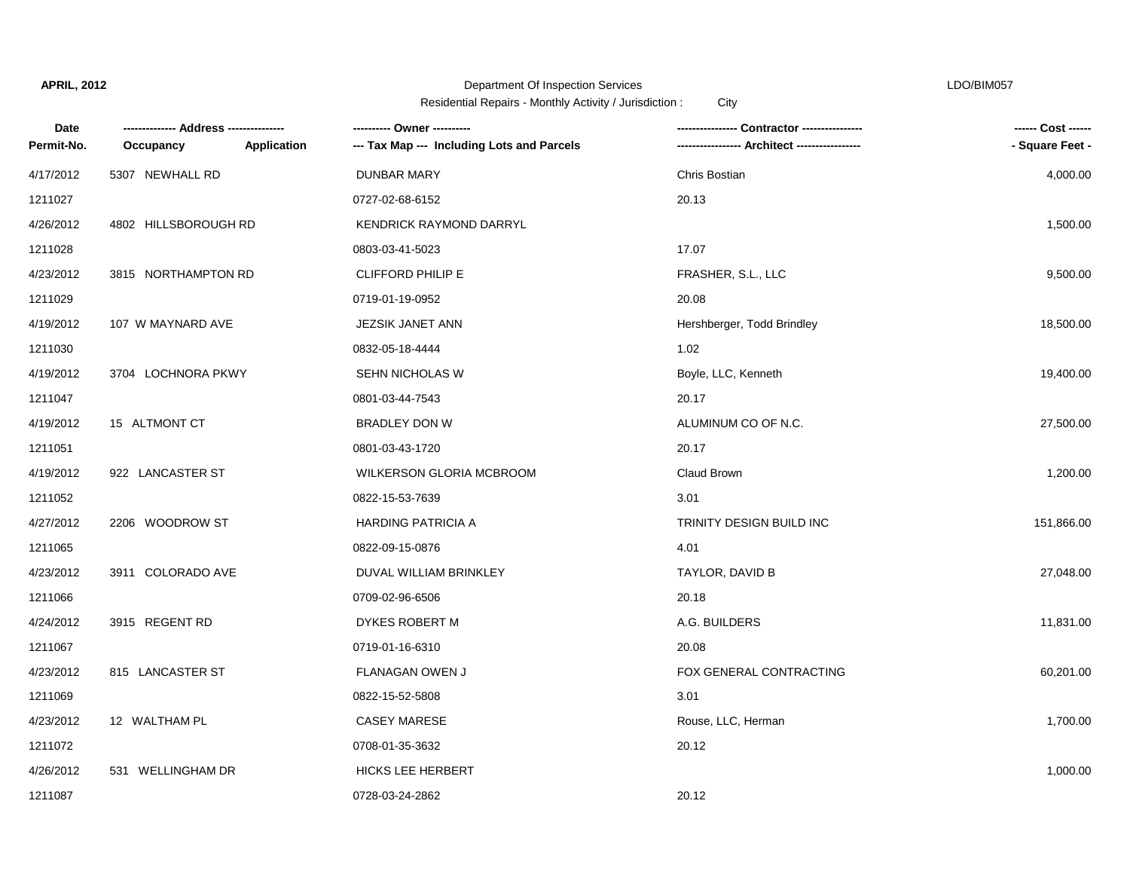#### Department Of Inspection Services LDO/BIM057

| Date       |                      |             | ---------- Owner ----------                |                            | ------ Cost ------ |
|------------|----------------------|-------------|--------------------------------------------|----------------------------|--------------------|
| Permit-No. | Occupancy            | Application | --- Tax Map --- Including Lots and Parcels |                            | - Square Feet -    |
| 4/17/2012  | 5307 NEWHALL RD      |             | <b>DUNBAR MARY</b>                         | Chris Bostian              | 4,000.00           |
| 1211027    |                      |             | 0727-02-68-6152                            | 20.13                      |                    |
| 4/26/2012  | 4802 HILLSBOROUGH RD |             | <b>KENDRICK RAYMOND DARRYL</b>             |                            | 1,500.00           |
| 1211028    |                      |             | 0803-03-41-5023                            | 17.07                      |                    |
| 4/23/2012  | 3815 NORTHAMPTON RD  |             | <b>CLIFFORD PHILIP E</b>                   | FRASHER, S.L., LLC         | 9,500.00           |
| 1211029    |                      |             | 0719-01-19-0952                            | 20.08                      |                    |
| 4/19/2012  | 107 W MAYNARD AVE    |             | JEZSIK JANET ANN                           | Hershberger, Todd Brindley | 18,500.00          |
| 1211030    |                      |             | 0832-05-18-4444                            | 1.02                       |                    |
| 4/19/2012  | 3704 LOCHNORA PKWY   |             | SEHN NICHOLAS W                            | Boyle, LLC, Kenneth        | 19,400.00          |
| 1211047    |                      |             | 0801-03-44-7543                            | 20.17                      |                    |
| 4/19/2012  | 15 ALTMONT CT        |             | <b>BRADLEY DON W</b>                       | ALUMINUM CO OF N.C.        | 27,500.00          |
| 1211051    |                      |             | 0801-03-43-1720                            | 20.17                      |                    |
| 4/19/2012  | 922 LANCASTER ST     |             | WILKERSON GLORIA MCBROOM                   | Claud Brown                | 1,200.00           |
| 1211052    |                      |             | 0822-15-53-7639                            | 3.01                       |                    |
| 4/27/2012  | 2206 WOODROW ST      |             | <b>HARDING PATRICIA A</b>                  | TRINITY DESIGN BUILD INC   | 151,866.00         |
| 1211065    |                      |             | 0822-09-15-0876                            | 4.01                       |                    |
| 4/23/2012  | 3911 COLORADO AVE    |             | DUVAL WILLIAM BRINKLEY                     | TAYLOR, DAVID B            | 27,048.00          |
| 1211066    |                      |             | 0709-02-96-6506                            | 20.18                      |                    |
| 4/24/2012  | 3915 REGENT RD       |             | DYKES ROBERT M                             | A.G. BUILDERS              | 11,831.00          |
| 1211067    |                      |             | 0719-01-16-6310                            | 20.08                      |                    |
| 4/23/2012  | 815 LANCASTER ST     |             | FLANAGAN OWEN J                            | FOX GENERAL CONTRACTING    | 60,201.00          |
| 1211069    |                      |             | 0822-15-52-5808                            | 3.01                       |                    |
| 4/23/2012  | 12 WALTHAM PL        |             | <b>CASEY MARESE</b>                        | Rouse, LLC, Herman         | 1,700.00           |
| 1211072    |                      |             | 0708-01-35-3632                            | 20.12                      |                    |
| 4/26/2012  | 531 WELLINGHAM DR    |             | <b>HICKS LEE HERBERT</b>                   |                            | 1,000.00           |
| 1211087    |                      |             | 0728-03-24-2862                            | 20.12                      |                    |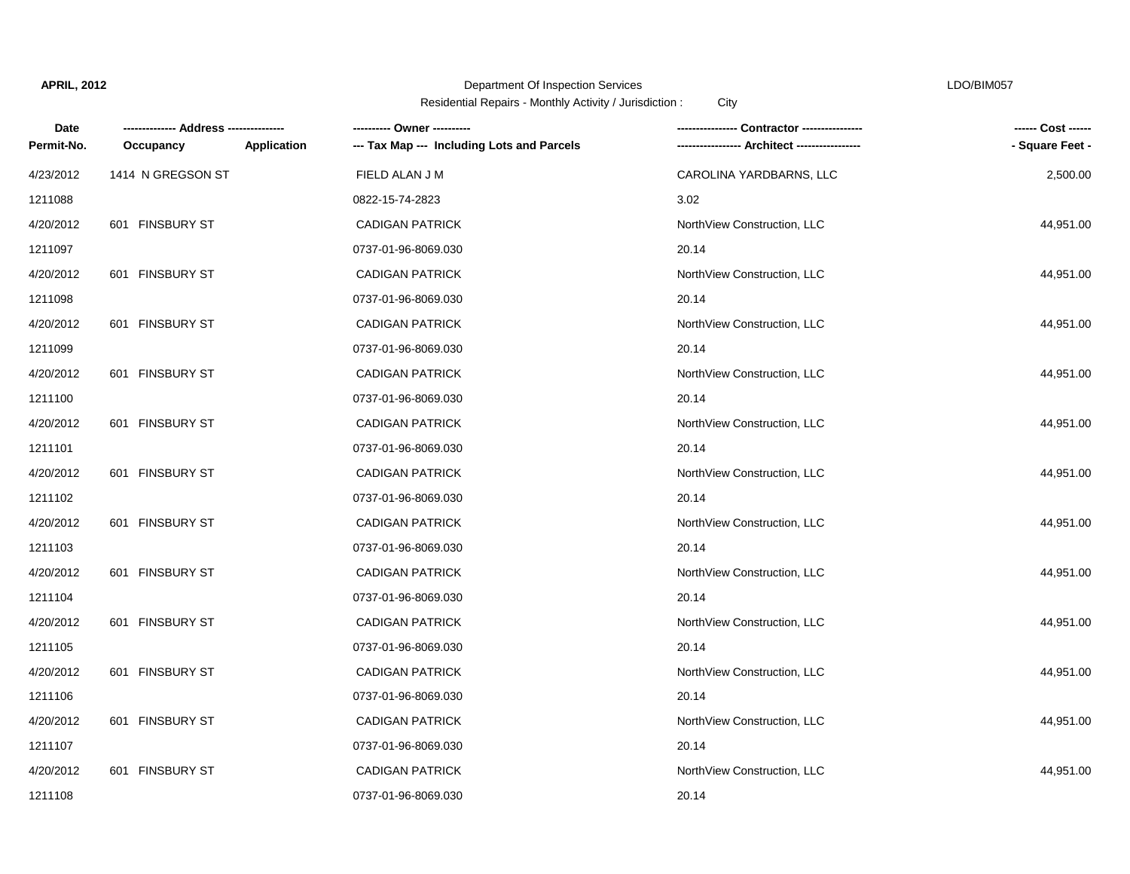# Department Of Inspection Services LDO/BIM057

| Date       |                   |                    |                                            | . Contractor --------------- | ------ Cost ------ |
|------------|-------------------|--------------------|--------------------------------------------|------------------------------|--------------------|
| Permit-No. | Occupancy         | <b>Application</b> | --- Tax Map --- Including Lots and Parcels | - Architect ----             | - Square Feet -    |
| 4/23/2012  | 1414 N GREGSON ST |                    | FIELD ALAN J M                             | CAROLINA YARDBARNS, LLC      | 2,500.00           |
| 1211088    |                   |                    | 0822-15-74-2823                            | 3.02                         |                    |
| 4/20/2012  | 601 FINSBURY ST   |                    | <b>CADIGAN PATRICK</b>                     | NorthView Construction, LLC  | 44,951.00          |
| 1211097    |                   |                    | 0737-01-96-8069.030                        | 20.14                        |                    |
| 4/20/2012  | 601 FINSBURY ST   |                    | <b>CADIGAN PATRICK</b>                     | NorthView Construction, LLC  | 44,951.00          |
| 1211098    |                   |                    | 0737-01-96-8069.030                        | 20.14                        |                    |
| 4/20/2012  | 601 FINSBURY ST   |                    | <b>CADIGAN PATRICK</b>                     | NorthView Construction, LLC  | 44,951.00          |
| 1211099    |                   |                    | 0737-01-96-8069.030                        | 20.14                        |                    |
| 4/20/2012  | 601 FINSBURY ST   |                    | <b>CADIGAN PATRICK</b>                     | NorthView Construction, LLC  | 44,951.00          |
| 1211100    |                   |                    | 0737-01-96-8069.030                        | 20.14                        |                    |
| 4/20/2012  | 601 FINSBURY ST   |                    | <b>CADIGAN PATRICK</b>                     | NorthView Construction, LLC  | 44,951.00          |
| 1211101    |                   |                    | 0737-01-96-8069.030                        | 20.14                        |                    |
| 4/20/2012  | 601 FINSBURY ST   |                    | <b>CADIGAN PATRICK</b>                     | NorthView Construction, LLC  | 44,951.00          |
| 1211102    |                   |                    | 0737-01-96-8069.030                        | 20.14                        |                    |
| 4/20/2012  | 601 FINSBURY ST   |                    | <b>CADIGAN PATRICK</b>                     | NorthView Construction, LLC  | 44,951.00          |
| 1211103    |                   |                    | 0737-01-96-8069.030                        | 20.14                        |                    |
| 4/20/2012  | 601 FINSBURY ST   |                    | <b>CADIGAN PATRICK</b>                     | NorthView Construction, LLC  | 44,951.00          |
| 1211104    |                   |                    | 0737-01-96-8069.030                        | 20.14                        |                    |
| 4/20/2012  | 601 FINSBURY ST   |                    | <b>CADIGAN PATRICK</b>                     | NorthView Construction, LLC  | 44,951.00          |
| 1211105    |                   |                    | 0737-01-96-8069.030                        | 20.14                        |                    |
| 4/20/2012  | 601 FINSBURY ST   |                    | <b>CADIGAN PATRICK</b>                     | NorthView Construction, LLC  | 44,951.00          |
| 1211106    |                   |                    | 0737-01-96-8069.030                        | 20.14                        |                    |
| 4/20/2012  | 601 FINSBURY ST   |                    | <b>CADIGAN PATRICK</b>                     | NorthView Construction, LLC  | 44,951.00          |
| 1211107    |                   |                    | 0737-01-96-8069.030                        | 20.14                        |                    |
| 4/20/2012  | 601 FINSBURY ST   |                    | <b>CADIGAN PATRICK</b>                     | NorthView Construction, LLC  | 44,951.00          |
| 1211108    |                   |                    | 0737-01-96-8069.030                        | 20.14                        |                    |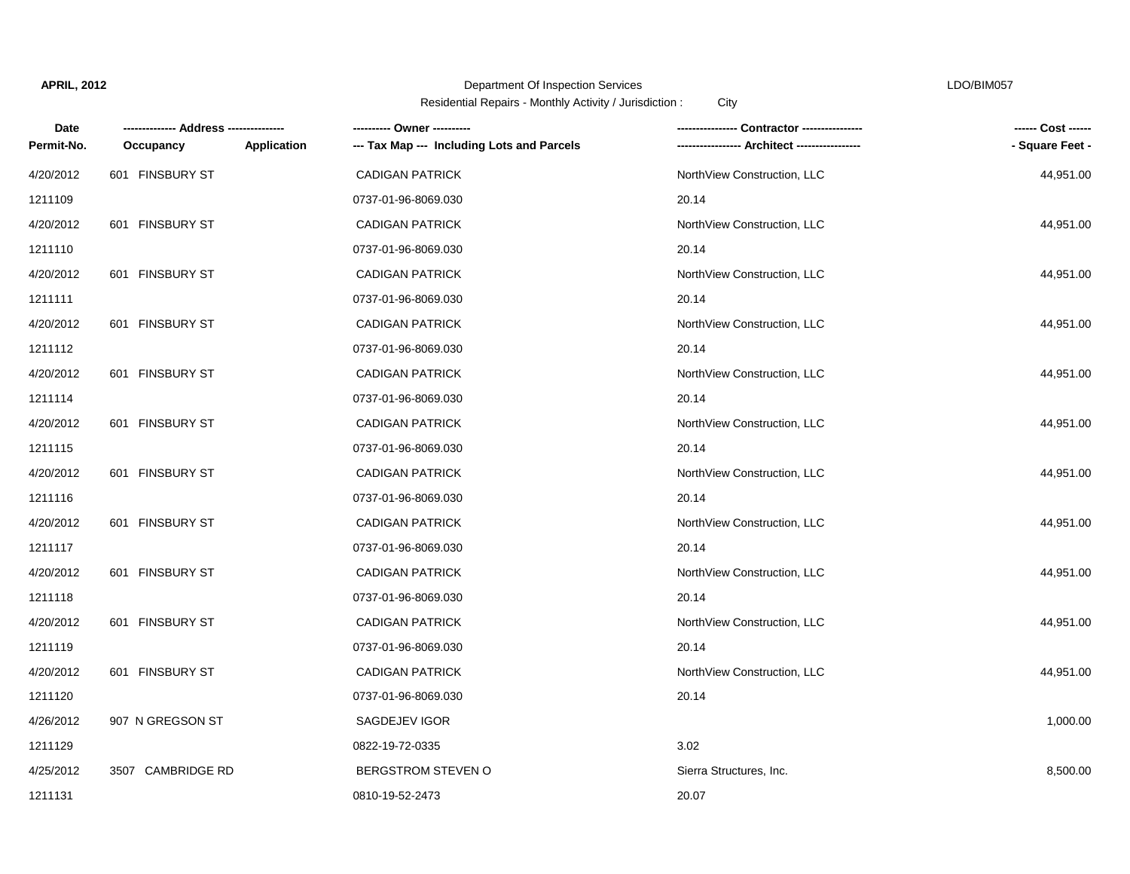# Department Of Inspection Services LDO/BIM057

| Date       |                   |             | ---------- Owner ----------                | Contractor ---------------  | ------ Cost ------ |
|------------|-------------------|-------------|--------------------------------------------|-----------------------------|--------------------|
| Permit-No. | Occupancy         | Application | --- Tax Map --- Including Lots and Parcels |                             | - Square Feet -    |
| 4/20/2012  | 601 FINSBURY ST   |             | <b>CADIGAN PATRICK</b>                     | NorthView Construction, LLC | 44,951.00          |
| 1211109    |                   |             | 0737-01-96-8069.030                        | 20.14                       |                    |
| 4/20/2012  | 601 FINSBURY ST   |             | <b>CADIGAN PATRICK</b>                     | NorthView Construction, LLC | 44,951.00          |
| 1211110    |                   |             | 0737-01-96-8069.030                        | 20.14                       |                    |
| 4/20/2012  | 601 FINSBURY ST   |             | <b>CADIGAN PATRICK</b>                     | NorthView Construction, LLC | 44,951.00          |
| 1211111    |                   |             | 0737-01-96-8069.030                        | 20.14                       |                    |
| 4/20/2012  | 601 FINSBURY ST   |             | <b>CADIGAN PATRICK</b>                     | NorthView Construction, LLC | 44,951.00          |
| 1211112    |                   |             | 0737-01-96-8069.030                        | 20.14                       |                    |
| 4/20/2012  | 601 FINSBURY ST   |             | <b>CADIGAN PATRICK</b>                     | NorthView Construction, LLC | 44,951.00          |
| 1211114    |                   |             | 0737-01-96-8069.030                        | 20.14                       |                    |
| 4/20/2012  | 601 FINSBURY ST   |             | <b>CADIGAN PATRICK</b>                     | NorthView Construction, LLC | 44,951.00          |
| 1211115    |                   |             | 0737-01-96-8069.030                        | 20.14                       |                    |
| 4/20/2012  | 601 FINSBURY ST   |             | <b>CADIGAN PATRICK</b>                     | NorthView Construction, LLC | 44,951.00          |
| 1211116    |                   |             | 0737-01-96-8069.030                        | 20.14                       |                    |
| 4/20/2012  | 601 FINSBURY ST   |             | <b>CADIGAN PATRICK</b>                     | NorthView Construction, LLC | 44,951.00          |
| 1211117    |                   |             | 0737-01-96-8069.030                        | 20.14                       |                    |
| 4/20/2012  | 601 FINSBURY ST   |             | <b>CADIGAN PATRICK</b>                     | NorthView Construction, LLC | 44,951.00          |
| 1211118    |                   |             | 0737-01-96-8069.030                        | 20.14                       |                    |
| 4/20/2012  | 601 FINSBURY ST   |             | <b>CADIGAN PATRICK</b>                     | NorthView Construction, LLC | 44,951.00          |
| 1211119    |                   |             | 0737-01-96-8069.030                        | 20.14                       |                    |
| 4/20/2012  | 601 FINSBURY ST   |             | <b>CADIGAN PATRICK</b>                     | NorthView Construction, LLC | 44,951.00          |
| 1211120    |                   |             | 0737-01-96-8069.030                        | 20.14                       |                    |
| 4/26/2012  | 907 N GREGSON ST  |             | SAGDEJEV IGOR                              |                             | 1,000.00           |
| 1211129    |                   |             | 0822-19-72-0335                            | 3.02                        |                    |
| 4/25/2012  | 3507 CAMBRIDGE RD |             | <b>BERGSTROM STEVEN O</b>                  | Sierra Structures, Inc.     | 8,500.00           |
| 1211131    |                   |             | 0810-19-52-2473                            | 20.07                       |                    |